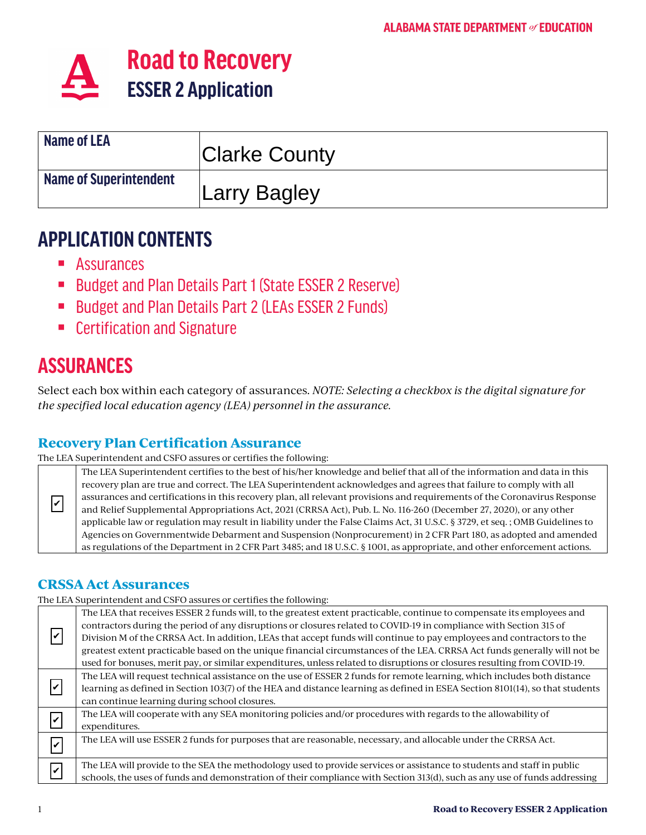

| <b>Name of LEA</b>     | <b>Clarke County</b> |
|------------------------|----------------------|
| Name of Superintendent | Larry Bagley         |

### **APPLICATION CONTENTS**

- Assurances
- Budget and Plan Details Part 1 (State ESSER 2 Reserve)
- **Budget and Plan Details Part 2 (LEAs ESSER 2 Funds)**
- **EXEC** Certification and Signature

### **ASSURANCES**

 $|v|$ 

Select each box within each category of assurances. *NOTE: Selecting a checkbox is the digital signature for the specified local education agency (LEA) personnel in the assurance.* 

#### **Recovery Plan Certification Assurance**

The LEA Superintendent and CSFO assures or certifies the following:

The LEA Superintendent certifies to the best of his/her knowledge and belief that all of the information and data in this recovery plan are true and correct. The LEA Superintendent acknowledges and agrees that failure to comply with all assurances and certifications in this recovery plan, all relevant provisions and requirements of the Coronavirus Response and Relief Supplemental Appropriations Act, 2021 (CRRSA Act), Pub. L. No. 116-260 (December 27, 2020), or any other applicable law or regulation may result in liability under the False Claims Act, 31 U.S.C. § 3729, et seq. ; OMB Guidelines to Agencies on Governmentwide Debarment and Suspension (Nonprocurement) in 2 CFR Part 180, as adopted and amended as regulations of the Department in 2 CFR Part 3485; and 18 U.S.C. § 1001, as appropriate, and other enforcement actions.

#### **CRSSA Act Assurances**

The LEA Superintendent and CSFO assures or certifies the following:

|                             | The LEA that receives ESSER 2 funds will, to the greatest extent practicable, continue to compensate its employees and<br>contractors during the period of any disruptions or closures related to COVID-19 in compliance with Section 315 of |
|-----------------------------|----------------------------------------------------------------------------------------------------------------------------------------------------------------------------------------------------------------------------------------------|
| V                           | Division M of the CRRSA Act. In addition, LEAs that accept funds will continue to pay employees and contractors to the                                                                                                                       |
|                             | greatest extent practicable based on the unique financial circumstances of the LEA. CRRSA Act funds generally will not be                                                                                                                    |
|                             | used for bonuses, merit pay, or similar expenditures, unless related to disruptions or closures resulting from COVID-19.                                                                                                                     |
|                             | The LEA will request technical assistance on the use of ESSER 2 funds for remote learning, which includes both distance                                                                                                                      |
| $\left  \mathbf{v} \right $ | learning as defined in Section 103(7) of the HEA and distance learning as defined in ESEA Section 8101(14), so that students                                                                                                                 |
|                             | can continue learning during school closures.                                                                                                                                                                                                |
| $\vert\bm{\mathsf{v}}\vert$ | The LEA will cooperate with any SEA monitoring policies and/or procedures with regards to the allowability of                                                                                                                                |
|                             | expenditures.                                                                                                                                                                                                                                |
| $\overline{v}$              | The LEA will use ESSER 2 funds for purposes that are reasonable, necessary, and allocable under the CRRSA Act.                                                                                                                               |
| $\overline{\mathbf{v}}$     | The LEA will provide to the SEA the methodology used to provide services or assistance to students and staff in public                                                                                                                       |
|                             | schools, the uses of funds and demonstration of their compliance with Section 313(d), such as any use of funds addressing                                                                                                                    |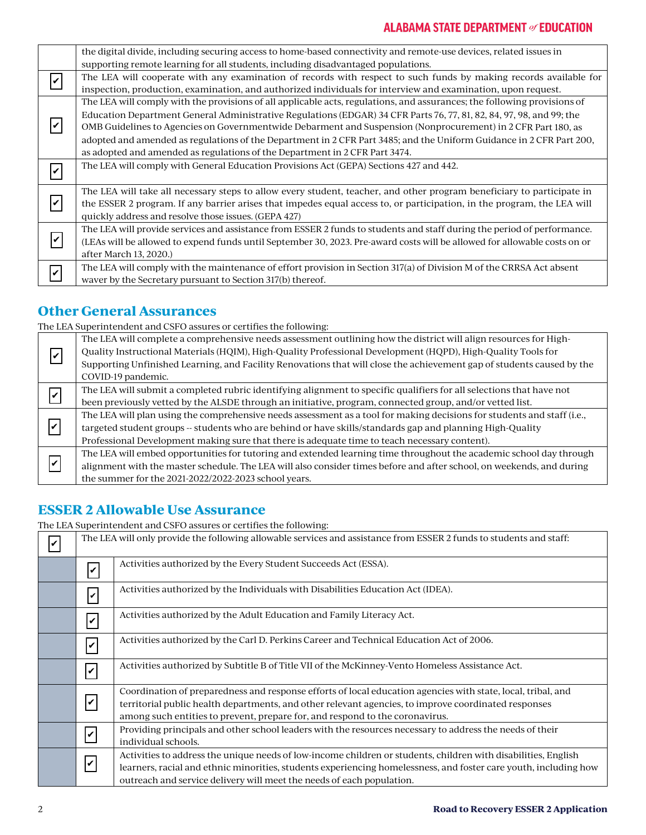#### **ALABAMA STATE DEPARTMENT of EDUCATION**

| the digital divide, including securing access to home-based connectivity and remote-use devices, related issues in        |
|---------------------------------------------------------------------------------------------------------------------------|
| supporting remote learning for all students, including disadvantaged populations.                                         |
| The LEA will cooperate with any examination of records with respect to such funds by making records available for         |
| inspection, production, examination, and authorized individuals for interview and examination, upon request.              |
| The LEA will comply with the provisions of all applicable acts, regulations, and assurances; the following provisions of  |
| Education Department General Administrative Regulations (EDGAR) 34 CFR Parts 76, 77, 81, 82, 84, 97, 98, and 99; the      |
| OMB Guidelines to Agencies on Governmentwide Debarment and Suspension (Nonprocurement) in 2 CFR Part 180, as              |
| adopted and amended as regulations of the Department in 2 CFR Part 3485; and the Uniform Guidance in 2 CFR Part 200,      |
| as adopted and amended as regulations of the Department in 2 CFR Part 3474.                                               |
| The LEA will comply with General Education Provisions Act (GEPA) Sections 427 and 442.                                    |
|                                                                                                                           |
| The LEA will take all necessary steps to allow every student, teacher, and other program beneficiary to participate in    |
| the ESSER 2 program. If any barrier arises that impedes equal access to, or participation, in the program, the LEA will   |
| quickly address and resolve those issues. (GEPA 427)                                                                      |
| The LEA will provide services and assistance from ESSER 2 funds to students and staff during the period of performance.   |
| (LEAs will be allowed to expend funds until September 30, 2023. Pre-award costs will be allowed for allowable costs on or |
| after March 13, 2020.)                                                                                                    |
| The LEA will comply with the maintenance of effort provision in Section 317(a) of Division M of the CRRSA Act absent      |
| waver by the Secretary pursuant to Section 317(b) thereof.                                                                |

#### **Other General Assurances**

The LEA Superintendent and CSFO assures or certifies the following:

|                          | The LEA will complete a comprehensive needs assessment outlining how the district will align resources for High-        |
|--------------------------|-------------------------------------------------------------------------------------------------------------------------|
| $\mathbf{v}$             | Quality Instructional Materials (HQIM), High-Quality Professional Development (HQPD), High-Quality Tools for            |
|                          | Supporting Unfinished Learning, and Facility Renovations that will close the achievement gap of students caused by the  |
|                          | COVID-19 pandemic.                                                                                                      |
| $\vert\mathbf{v}\vert$   | The LEA will submit a completed rubric identifying alignment to specific qualifiers for all selections that have not    |
|                          | been previously vetted by the ALSDE through an initiative, program, connected group, and/or vetted list.                |
|                          | The LEA will plan using the comprehensive needs assessment as a tool for making decisions for students and staff (i.e., |
| $ \mathcal{V} $          | targeted student groups -- students who are behind or have skills/standards gap and planning High-Quality               |
|                          | Professional Development making sure that there is adequate time to teach necessary content).                           |
|                          | The LEA will embed opportunities for tutoring and extended learning time throughout the academic school day through     |
| $\overline{\mathcal{C}}$ | alignment with the master schedule. The LEA will also consider times before and after school, on weekends, and during   |
|                          | the summer for the 2021-2022/2022-2023 school years.                                                                    |

#### **ESSER 2 Allowable Use Assurance**

The LEA Superintendent and CSFO assures or certifies the following:

| The LEA will only provide the following allowable services and assistance from ESSER 2 funds to students and staff: |                                                                                                                                                                                                                                                                                                             |  |  |  |
|---------------------------------------------------------------------------------------------------------------------|-------------------------------------------------------------------------------------------------------------------------------------------------------------------------------------------------------------------------------------------------------------------------------------------------------------|--|--|--|
| $\overline{\mathbf{v}}$                                                                                             | Activities authorized by the Every Student Succeeds Act (ESSA).                                                                                                                                                                                                                                             |  |  |  |
| Ιv                                                                                                                  | Activities authorized by the Individuals with Disabilities Education Act (IDEA).                                                                                                                                                                                                                            |  |  |  |
| Activities authorized by the Adult Education and Family Literacy Act.                                               |                                                                                                                                                                                                                                                                                                             |  |  |  |
| V                                                                                                                   | Activities authorized by the Carl D. Perkins Career and Technical Education Act of 2006.                                                                                                                                                                                                                    |  |  |  |
| V                                                                                                                   | Activities authorized by Subtitle B of Title VII of the McKinney-Vento Homeless Assistance Act.                                                                                                                                                                                                             |  |  |  |
| ∣✓                                                                                                                  | Coordination of preparedness and response efforts of local education agencies with state, local, tribal, and<br>territorial public health departments, and other relevant agencies, to improve coordinated responses<br>among such entities to prevent, prepare for, and respond to the coronavirus.        |  |  |  |
| $\boldsymbol{ } \boldsymbol{\mathcal{V}}$                                                                           | Providing principals and other school leaders with the resources necessary to address the needs of their<br>individual schools.                                                                                                                                                                             |  |  |  |
|                                                                                                                     | Activities to address the unique needs of low-income children or students, children with disabilities, English<br>learners, racial and ethnic minorities, students experiencing homelessness, and foster care youth, including how<br>outreach and service delivery will meet the needs of each population. |  |  |  |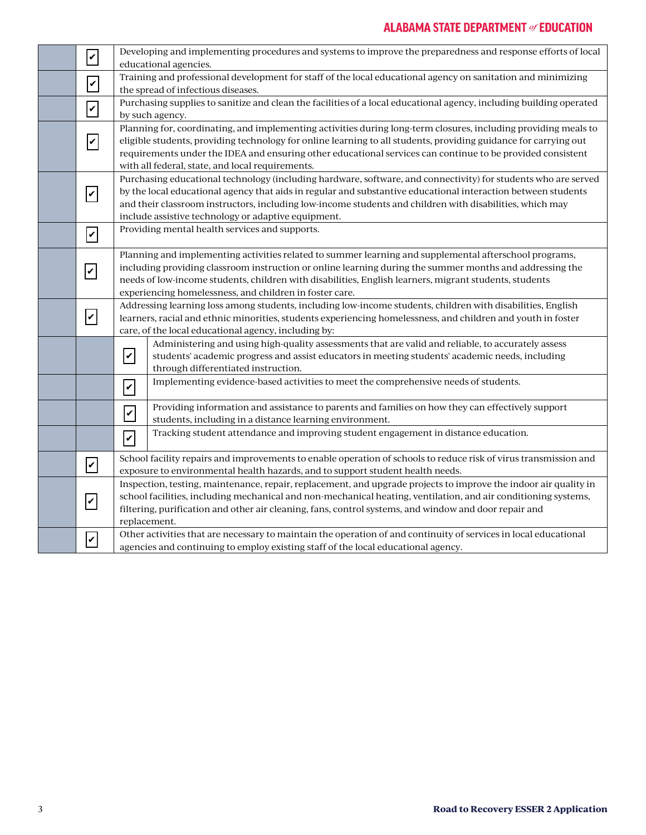#### **ALABAMA STATE DEPARTMENT of EDUCATION**

| $\boxed{\checkmark}$     | Developing and implementing procedures and systems to improve the preparedness and response efforts of local<br>educational agencies.                                                                                                                                                                                                                                                                 |  |  |  |  |  |
|--------------------------|-------------------------------------------------------------------------------------------------------------------------------------------------------------------------------------------------------------------------------------------------------------------------------------------------------------------------------------------------------------------------------------------------------|--|--|--|--|--|
| $\overline{\mathcal{V}}$ | Training and professional development for staff of the local educational agency on sanitation and minimizing<br>the spread of infectious diseases.                                                                                                                                                                                                                                                    |  |  |  |  |  |
| $\overline{\mathcal{V}}$ | Purchasing supplies to sanitize and clean the facilities of a local educational agency, including building operated<br>by such agency.                                                                                                                                                                                                                                                                |  |  |  |  |  |
| $\blacktriangledown$     | Planning for, coordinating, and implementing activities during long-term closures, including providing meals to<br>eligible students, providing technology for online learning to all students, providing guidance for carrying out<br>requirements under the IDEA and ensuring other educational services can continue to be provided consistent<br>with all federal, state, and local requirements. |  |  |  |  |  |
| $\mathbf{v}$             | Purchasing educational technology (including hardware, software, and connectivity) for students who are served<br>by the local educational agency that aids in regular and substantive educational interaction between students<br>and their classroom instructors, including low-income students and children with disabilities, which may<br>include assistive technology or adaptive equipment.    |  |  |  |  |  |
| $\overline{\mathcal{V}}$ | Providing mental health services and supports.                                                                                                                                                                                                                                                                                                                                                        |  |  |  |  |  |
| $\mathbf{v}$             | Planning and implementing activities related to summer learning and supplemental afterschool programs,<br>including providing classroom instruction or online learning during the summer months and addressing the<br>needs of low-income students, children with disabilities, English learners, migrant students, students<br>experiencing homelessness, and children in foster care.               |  |  |  |  |  |
| $\mathbf{v}$             | Addressing learning loss among students, including low-income students, children with disabilities, English<br>learners, racial and ethnic minorities, students experiencing homelessness, and children and youth in foster<br>care, of the local educational agency, including by:                                                                                                                   |  |  |  |  |  |
|                          | Administering and using high-quality assessments that are valid and reliable, to accurately assess<br>$\vert\mathbf{v}\vert$<br>students' academic progress and assist educators in meeting students' academic needs, including<br>through differentiated instruction.                                                                                                                                |  |  |  |  |  |
|                          | Implementing evidence-based activities to meet the comprehensive needs of students.<br>$\overline{\mathcal{C}}$                                                                                                                                                                                                                                                                                       |  |  |  |  |  |
|                          | Providing information and assistance to parents and families on how they can effectively support<br>$\overline{\mathbf{C}}$<br>students, including in a distance learning environment.                                                                                                                                                                                                                |  |  |  |  |  |
|                          | Tracking student attendance and improving student engagement in distance education.<br>$\overline{\mathcal{V}}$                                                                                                                                                                                                                                                                                       |  |  |  |  |  |
| $\mathbf{v}$             | School facility repairs and improvements to enable operation of schools to reduce risk of virus transmission and<br>exposure to environmental health hazards, and to support student health needs.                                                                                                                                                                                                    |  |  |  |  |  |
| $\mathbf{v}$             | Inspection, testing, maintenance, repair, replacement, and upgrade projects to improve the indoor air quality in<br>school facilities, including mechanical and non-mechanical heating, ventilation, and air conditioning systems,<br>filtering, purification and other air cleaning, fans, control systems, and window and door repair and<br>replacement.                                           |  |  |  |  |  |
| $\vert\mathbf{v}\vert$   | Other activities that are necessary to maintain the operation of and continuity of services in local educational<br>agencies and continuing to employ existing staff of the local educational agency.                                                                                                                                                                                                 |  |  |  |  |  |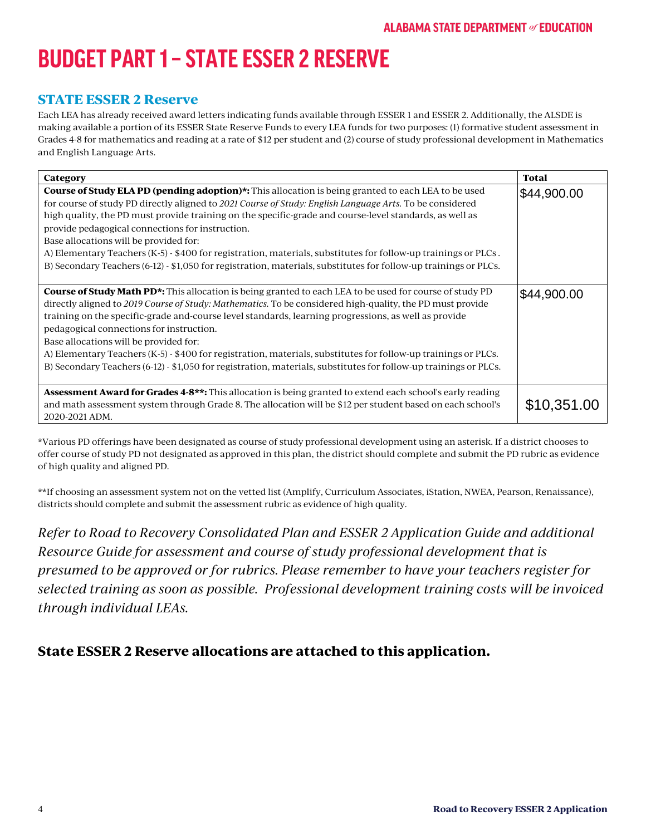## **BUDGET PART1 – STATEESSER 2 RESERVE**

#### **STATE ESSER 2 Reserve**

Each LEA has already received award letters indicating funds available through ESSER 1 and ESSER 2. Additionally, the ALSDE is making available a portion of its ESSER State Reserve Funds to every LEA funds for two purposes: (1) formative student assessment in Grades 4-8 for mathematics and reading at a rate of \$12 per student and (2) course of study professional development in Mathematics and English Language Arts.

| Category                                                                                                                                                                                                                                                                                                                                                                                                                                                                                                                                                                                                                                                               | <b>Total</b> |
|------------------------------------------------------------------------------------------------------------------------------------------------------------------------------------------------------------------------------------------------------------------------------------------------------------------------------------------------------------------------------------------------------------------------------------------------------------------------------------------------------------------------------------------------------------------------------------------------------------------------------------------------------------------------|--------------|
| <b>Course of Study ELA PD (pending adoption)</b> *: This allocation is being granted to each LEA to be used<br>for course of study PD directly aligned to 2021 Course of Study: English Language Arts. To be considered<br>high quality, the PD must provide training on the specific-grade and course-level standards, as well as<br>provide pedagogical connections for instruction.<br>Base allocations will be provided for:<br>A) Elementary Teachers (K-5) - \$400 for registration, materials, substitutes for follow-up trainings or PLCs.<br>B) Secondary Teachers (6-12) - \$1,050 for registration, materials, substitutes for follow-up trainings or PLCs. | \$44,900.00  |
| <b>Course of Study Math PD*:</b> This allocation is being granted to each LEA to be used for course of study PD<br>directly aligned to 2019 Course of Study: Mathematics. To be considered high-quality, the PD must provide<br>training on the specific-grade and-course level standards, learning progressions, as well as provide<br>pedagogical connections for instruction.<br>Base allocations will be provided for:<br>A) Elementary Teachers (K-5) - \$400 for registration, materials, substitutes for follow-up trainings or PLCs.<br>B) Secondary Teachers (6-12) - \$1,050 for registration, materials, substitutes for follow-up trainings or PLCs.       | \$44,900.00  |
| <b>Assessment Award for Grades 4-8**:</b> This allocation is being granted to extend each school's early reading<br>and math assessment system through Grade 8. The allocation will be \$12 per student based on each school's<br>2020-2021 ADM.                                                                                                                                                                                                                                                                                                                                                                                                                       | \$10,351.00  |

\*Various PD offerings have been designated as course of study professional development using an asterisk. If a district chooses to offer course of study PD not designated as approved in this plan, the district should complete and submit the PD rubric as evidence of high quality and aligned PD.

\*\*If choosing an assessment system not on the vetted list (Amplify, Curriculum Associates, iStation, NWEA, Pearson, Renaissance), districts should complete and submit the assessment rubric as evidence of high quality.

*Refer to Road to Recovery Consolidated Plan and ESSER 2 Application Guide and additional Resource Guide for assessment and course of study professional development that is presumed to be approved or for rubrics. Please remember to have your teachers register for selected training as soon as possible. Professional development training costs will be invoiced through individual LEAs.*

#### **State ESSER 2 Reserve allocations are attached to this application.**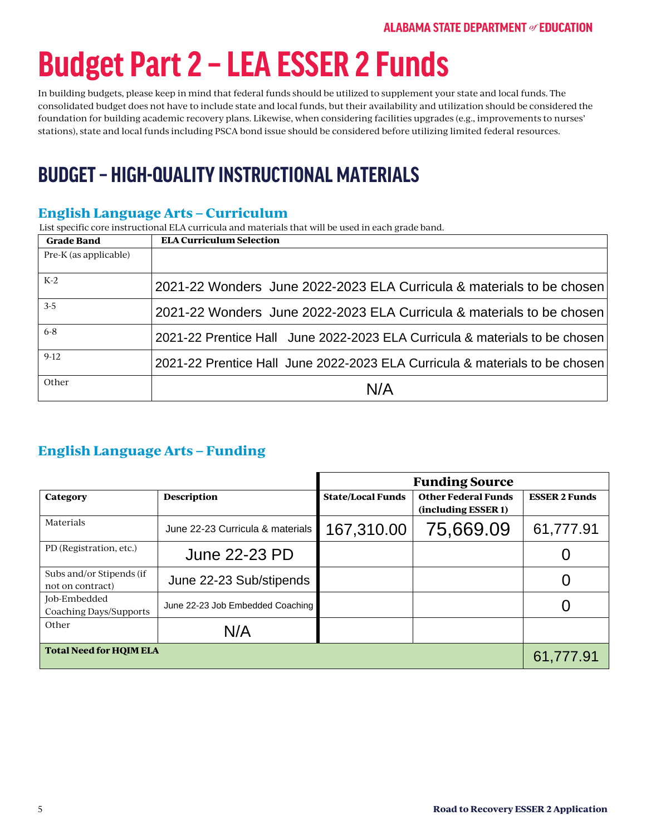# **Budget Part2 – LEA ESSER 2 Funds**

In building budgets, please keep in mind that federal funds should be utilized to supplement your state and local funds. The consolidated budget does not have to include state and local funds, but their availability and utilization should be considered the foundation for building academic recovery plans. Likewise, when considering facilities upgrades (e.g., improvements to nurses' stations), state and local funds including PSCA bond issue should be considered before utilizing limited federal resources.

### **BUDGET – HIGH-QUALITY INSTRUCTIONAL MATERIALS**

#### **English Language Arts – Curriculum**

List specific core instructional ELA curricula and materials that will be used in each grade band.

| <b>Grade Band</b>     | <b>ELA Curriculum Selection</b>                                             |
|-----------------------|-----------------------------------------------------------------------------|
| Pre-K (as applicable) |                                                                             |
| $K-2$                 | 2021-22 Wonders June 2022-2023 ELA Curricula & materials to be chosen       |
| $3-5$                 | 2021-22 Wonders June 2022-2023 ELA Curricula & materials to be chosen       |
| $6-8$                 | 2021-22 Prentice Hall June 2022-2023 ELA Curricula & materials to be chosen |
| $9-12$                | 2021-22 Prentice Hall June 2022-2023 ELA Curricula & materials to be chosen |
| Other                 | N/A                                                                         |

#### **English Language Arts – Funding**

|                                              |                                  |                          | <b>Funding Source</b>                             |                      |  |
|----------------------------------------------|----------------------------------|--------------------------|---------------------------------------------------|----------------------|--|
| Category                                     | <b>Description</b>               | <b>State/Local Funds</b> | <b>Other Federal Funds</b><br>(including ESSER 1) | <b>ESSER 2 Funds</b> |  |
| <b>Materials</b>                             | June 22-23 Curricula & materials | 167,310.00               | 75,669.09                                         | 61,777.91            |  |
| PD (Registration, etc.)                      | June 22-23 PD                    |                          |                                                   |                      |  |
| Subs and/or Stipends (if<br>not on contract) | June 22-23 Sub/stipends          |                          |                                                   |                      |  |
| Job-Embedded<br>Coaching Days/Supports       | June 22-23 Job Embedded Coaching |                          |                                                   |                      |  |
| Other                                        | N/A                              |                          |                                                   |                      |  |
| <b>Total Need for HQIM ELA</b>               |                                  |                          |                                                   | 61,777.91            |  |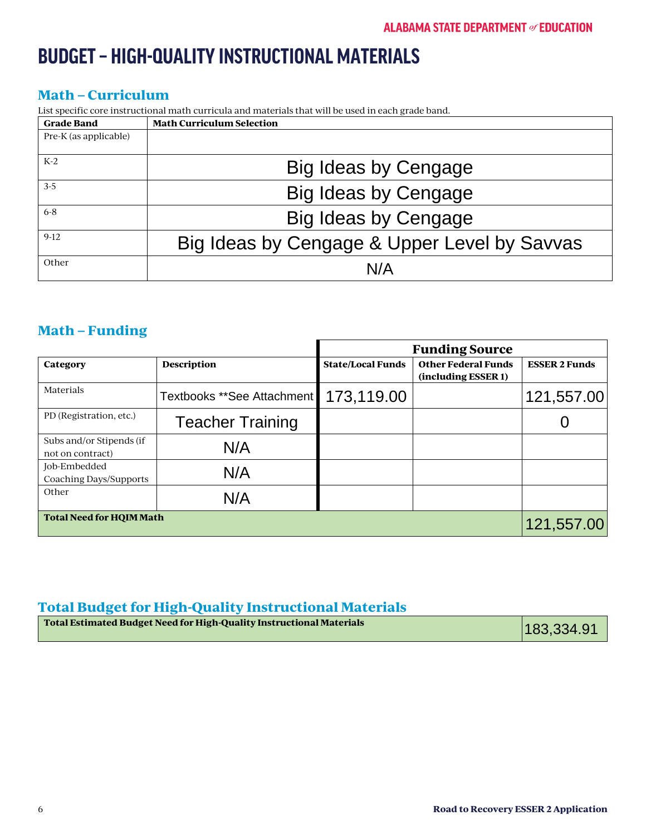### **BUDGET – HIGH-QUALITY INSTRUCTIONAL MATERIALS**

#### **Math – Curriculum**

List specific core instructional math curricula and materials that will be used in each grade band.

| <b>Grade Band</b>     | <b>Math Curriculum Selection</b>             |
|-----------------------|----------------------------------------------|
| Pre-K (as applicable) |                                              |
| $K-2$                 | Big Ideas by Cengage                         |
| $3-5$                 | Big Ideas by Cengage                         |
| $6 - 8$               | Big Ideas by Cengage                         |
| $9-12$                | Big Ideas by Cengage & Upper Level by Savvas |
| Other                 | N/A                                          |

#### **Math – Funding**

|                                               |                            | <b>Funding Source</b>    |                                                   |                      |
|-----------------------------------------------|----------------------------|--------------------------|---------------------------------------------------|----------------------|
| Category                                      | <b>Description</b>         | <b>State/Local Funds</b> | <b>Other Federal Funds</b><br>(including ESSER 1) | <b>ESSER 2 Funds</b> |
| Materials                                     | Textbooks **See Attachment | 173,119.00               |                                                   | 121,557.00           |
| PD (Registration, etc.)                       | <b>Teacher Training</b>    |                          |                                                   |                      |
| Subs and/or Stipends (if<br>not on contract)  | N/A                        |                          |                                                   |                      |
| Job-Embedded<br><b>Coaching Days/Supports</b> | N/A                        |                          |                                                   |                      |
| Other                                         | N/A                        |                          |                                                   |                      |
| <b>Total Need for HQIM Math</b>               |                            |                          |                                                   | 121,557.00           |

#### **Total Budget for High-Quality Instructional Materials**

|  |  | Total Estimated Budget Need for High-Quality Instructional Materials | 183,334.91 |
|--|--|----------------------------------------------------------------------|------------|
|  |  |                                                                      |            |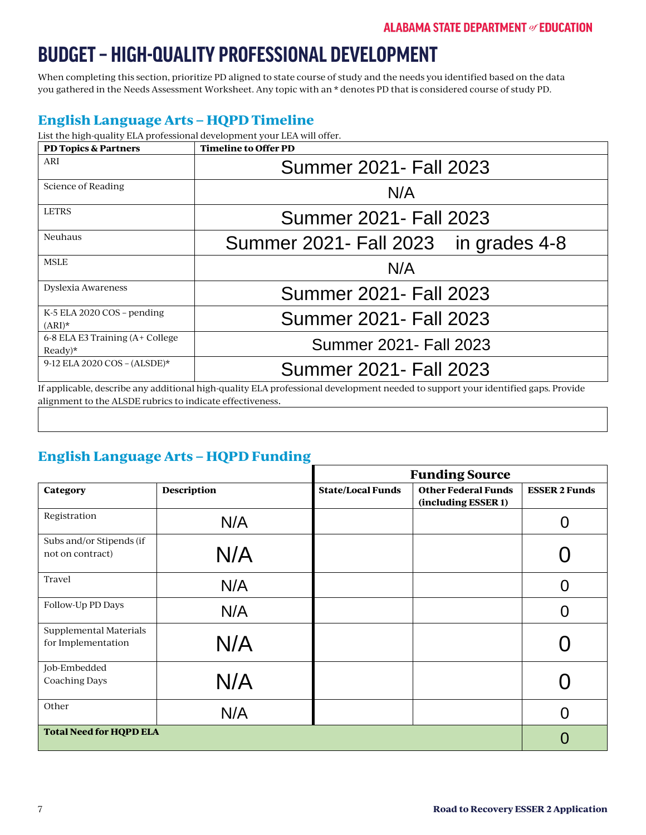### **BUDGET – HIGH-QUALITY PROFESSIONAL DEVELOPMENT**

When completing this section, prioritize PD aligned to state course of study and the needs you identified based on the data you gathered in the Needs Assessment Worksheet. Any topic with an \* denotes PD that is considered course of study PD.

#### **English Language Arts – HQPD Timeline**

| <b>PD Topics &amp; Partners</b>              | <b>Timeline to Offer PD</b>           |
|----------------------------------------------|---------------------------------------|
| ARI                                          | <b>Summer 2021- Fall 2023</b>         |
| Science of Reading                           | N/A                                   |
| <b>LETRS</b>                                 | <b>Summer 2021- Fall 2023</b>         |
| Neuhaus                                      | Summer 2021 - Fall 2023 in grades 4-8 |
| <b>MSLE</b>                                  | N/A                                   |
| Dyslexia Awareness                           | <b>Summer 2021- Fall 2023</b>         |
| K-5 ELA 2020 COS $-$ pending<br>$(ARI)^*$    | <b>Summer 2021- Fall 2023</b>         |
| 6-8 ELA E3 Training (A+ College<br>$Readv)*$ | <b>Summer 2021- Fall 2023</b>         |
| 9-12 ELA 2020 COS - $(ALSDE)*$               | <b>Summer 2021- Fall 2023</b>         |

alignment to the ALSDE rubrics to indicate effectiveness.

#### **English Language Arts – HQPD Funding**

|                                              |                    | <b>Funding Source</b>    |                                                   |                      |
|----------------------------------------------|--------------------|--------------------------|---------------------------------------------------|----------------------|
| Category                                     | <b>Description</b> | <b>State/Local Funds</b> | <b>Other Federal Funds</b><br>(including ESSER 1) | <b>ESSER 2 Funds</b> |
| Registration                                 | N/A                |                          |                                                   |                      |
| Subs and/or Stipends (if<br>not on contract) | N/A                |                          |                                                   |                      |
| Travel                                       | N/A                |                          |                                                   |                      |
| Follow-Up PD Days                            | N/A                |                          |                                                   |                      |
| Supplemental Materials<br>for Implementation | N/A                |                          |                                                   |                      |
| Job-Embedded                                 |                    |                          |                                                   |                      |
| <b>Coaching Days</b>                         | N/A                |                          |                                                   |                      |
| Other                                        | N/A                |                          |                                                   |                      |
| <b>Total Need for HQPD ELA</b>               |                    |                          |                                                   |                      |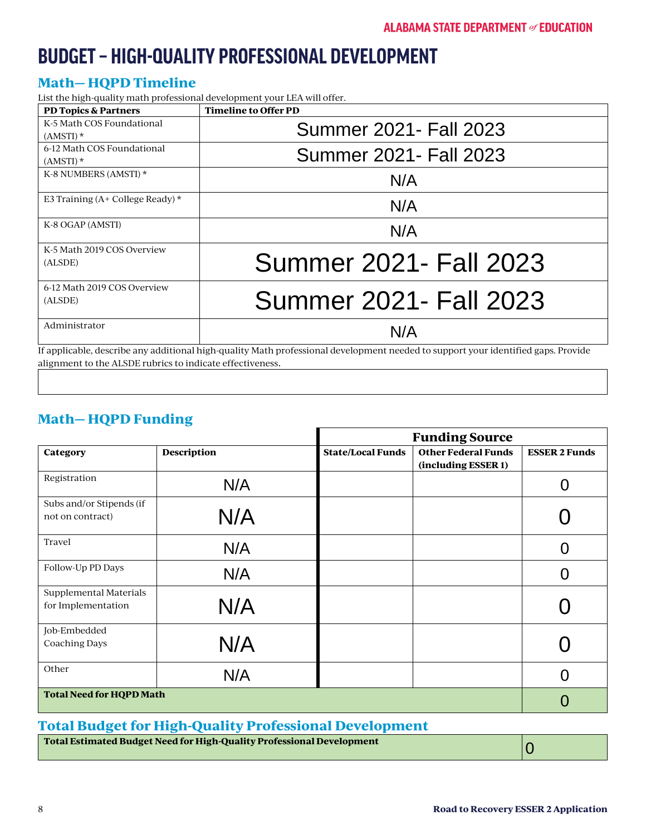### **BUDGET – HIGH-QUALITY PROFESSIONAL DEVELOPMENT**

#### **Math— HQPD Timeline**

List the high-quality math professional development your LEA will offer.

| <b>Timeline to Offer PD</b>                                                                                                                                              |
|--------------------------------------------------------------------------------------------------------------------------------------------------------------------------|
| <b>Summer 2021- Fall 2023</b>                                                                                                                                            |
|                                                                                                                                                                          |
| <b>Summer 2021 - Fall 2023</b>                                                                                                                                           |
|                                                                                                                                                                          |
| N/A                                                                                                                                                                      |
| N/A                                                                                                                                                                      |
|                                                                                                                                                                          |
| N/A                                                                                                                                                                      |
|                                                                                                                                                                          |
| <b>Summer 2021- Fall 2023</b>                                                                                                                                            |
|                                                                                                                                                                          |
| <b>Summer 2021- Fall 2023</b>                                                                                                                                            |
| N/A                                                                                                                                                                      |
| $\mathcal{D}$ controlled controlled and alternative controlled and $\mathcal{L}$ controlled and controlled and controlled and $\mathcal{D}$ controlled and $\mathcal{D}$ |

If applicable, describe any additional high-quality Math professional development needed to support your identified gaps. Provide alignment to the ALSDE rubrics to indicate effectiveness.

#### **Math— HQPD Funding**

|                                              |                    | <b>Funding Source</b>    |                                                   |                      |
|----------------------------------------------|--------------------|--------------------------|---------------------------------------------------|----------------------|
| Category                                     | <b>Description</b> | <b>State/Local Funds</b> | <b>Other Federal Funds</b><br>(including ESSER 1) | <b>ESSER 2 Funds</b> |
| Registration                                 | N/A                |                          |                                                   |                      |
| Subs and/or Stipends (if<br>not on contract) | N/A                |                          |                                                   |                      |
| Travel                                       | N/A                |                          |                                                   |                      |
| Follow-Up PD Days                            | N/A                |                          |                                                   |                      |
| Supplemental Materials<br>for Implementation | N/A                |                          |                                                   |                      |
| Job-Embedded<br><b>Coaching Days</b>         | N/A                |                          |                                                   |                      |
| Other                                        | N/A                |                          |                                                   |                      |
| <b>Total Need for HQPD Math</b>              |                    |                          |                                                   |                      |

#### **Total Budget for High-Quality Professional Development**

**Total Estimated Budget Need for High-Quality Professional Development**

 $\overline{0}$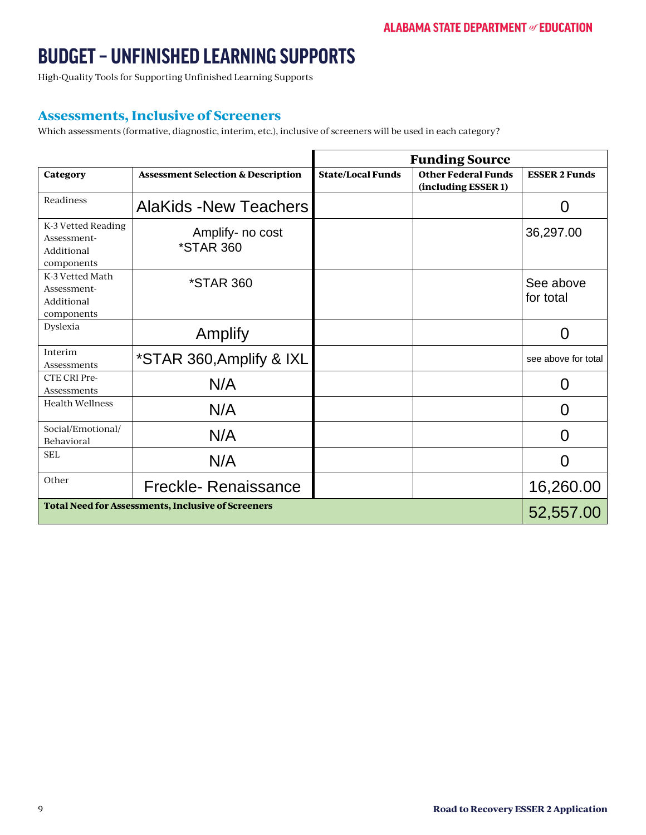High-Quality Tools for Supporting Unfinished Learning Supports

#### **Assessments, Inclusive of Screeners**

Which assessments (formative, diagnostic, interim, etc.), inclusive of screeners will be used in each category?

|                                                               |                                                           |                          | <b>Funding Source</b>                             |                        |
|---------------------------------------------------------------|-----------------------------------------------------------|--------------------------|---------------------------------------------------|------------------------|
| Category                                                      | <b>Assessment Selection &amp; Description</b>             | <b>State/Local Funds</b> | <b>Other Federal Funds</b><br>(including ESSER 1) | <b>ESSER 2 Funds</b>   |
| Readiness                                                     | <b>AlaKids - New Teachers</b>                             |                          |                                                   | O                      |
| K-3 Vetted Reading<br>Assessment-<br>Additional<br>components | Amplify- no cost<br><i><b>*STAR 360</b></i>               |                          |                                                   | 36,297.00              |
| K-3 Vetted Math<br>Assessment-<br>Additional<br>components    | <i><b>*STAR 360</b></i>                                   |                          |                                                   | See above<br>for total |
| Dyslexia                                                      | Amplify                                                   |                          |                                                   | 0                      |
| Interim<br>Assessments                                        | *STAR 360, Amplify & IXL                                  |                          |                                                   | see above for total    |
| <b>CTE CRI Pre-</b><br><b>Assessments</b>                     | N/A                                                       |                          |                                                   | ( )                    |
| <b>Health Wellness</b>                                        | N/A                                                       |                          |                                                   | 0                      |
| Social/Emotional/<br>Behavioral                               | N/A                                                       |                          |                                                   | $\mathbf{\Omega}$      |
| SEL                                                           | N/A                                                       |                          |                                                   | 0                      |
| Other                                                         | Freckle-Renaissance                                       |                          |                                                   | 16,260.00              |
|                                                               | <b>Total Need for Assessments, Inclusive of Screeners</b> |                          |                                                   | 52,557.00              |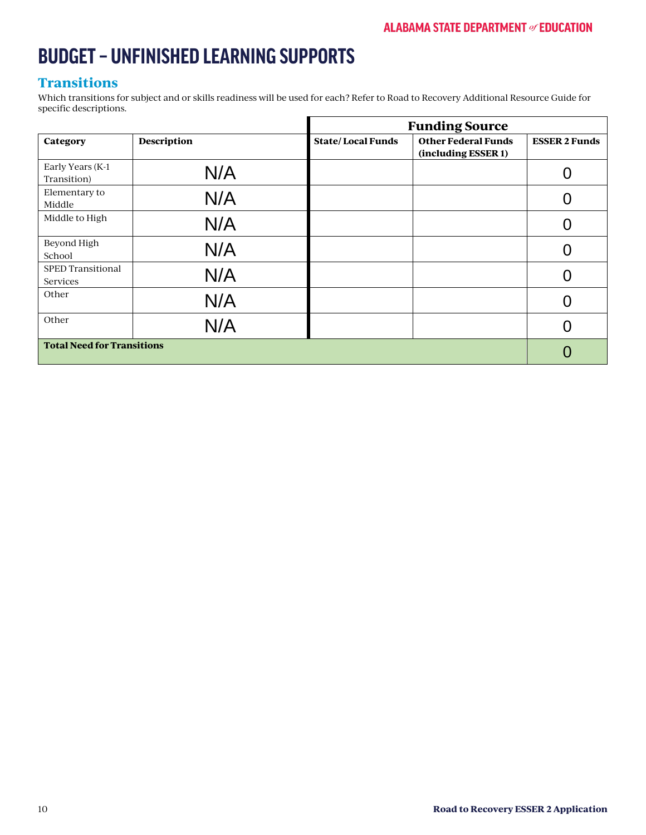#### **Transitions**

Which transitions for subject and or skills readiness will be used for each? Refer to Road to Recovery Additional Resource Guide for specific descriptions.

|                                      |                    |                          | <b>Funding Source</b>                             |                      |  |
|--------------------------------------|--------------------|--------------------------|---------------------------------------------------|----------------------|--|
| Category                             | <b>Description</b> | <b>State/Local Funds</b> | <b>Other Federal Funds</b><br>(including ESSER 1) | <b>ESSER 2 Funds</b> |  |
| Early Years (K-1<br>Transition)      | N/A                |                          |                                                   |                      |  |
| Elementary to<br>Middle              | N/A                |                          |                                                   |                      |  |
| Middle to High                       | N/A                |                          |                                                   |                      |  |
| Beyond High<br>School                | N/A                |                          |                                                   |                      |  |
| <b>SPED Transitional</b><br>Services | N/A                |                          |                                                   |                      |  |
| Other                                | N/A                |                          |                                                   |                      |  |
| Other                                | N/A                |                          |                                                   |                      |  |
| <b>Total Need for Transitions</b>    |                    |                          |                                                   |                      |  |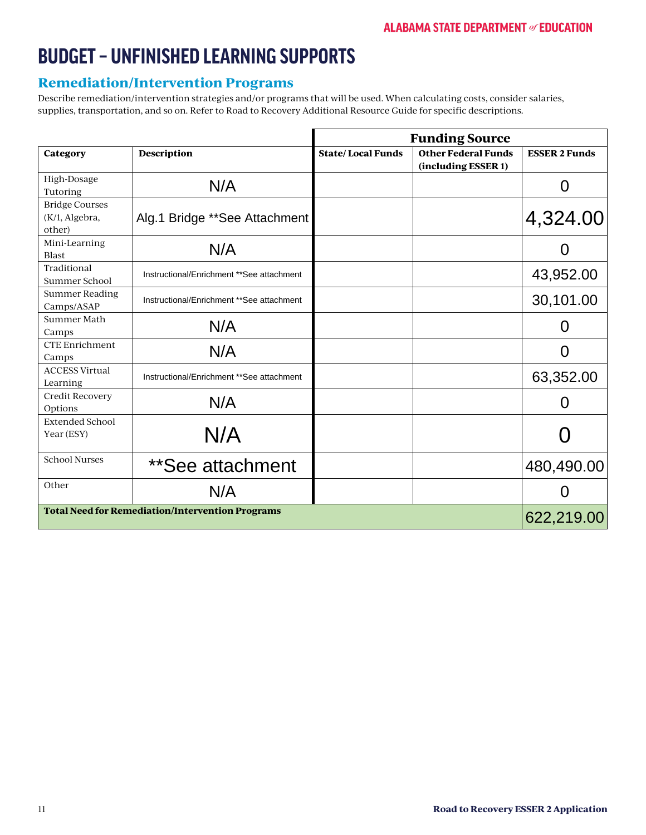#### **Remediation/Intervention Programs**

Describe remediation/intervention strategies and/or programs that will be used. When calculating costs, consider salaries, supplies, transportation, and so on. Refer to Road to Recovery Additional Resource Guide for specific descriptions.

|                                                   |                                                         |                          | <b>Funding Source</b>                             |                      |
|---------------------------------------------------|---------------------------------------------------------|--------------------------|---------------------------------------------------|----------------------|
| Category                                          | <b>Description</b>                                      | <b>State/Local Funds</b> | <b>Other Federal Funds</b><br>(including ESSER 1) | <b>ESSER 2 Funds</b> |
| High-Dosage<br>Tutoring                           | N/A                                                     |                          |                                                   | 0                    |
| <b>Bridge Courses</b><br>(K/1, Algebra,<br>other) | Alg.1 Bridge ** See Attachment                          |                          |                                                   | 4,324.00             |
| Mini-Learning<br><b>Blast</b>                     | N/A                                                     |                          |                                                   | 0                    |
| Traditional<br>Summer School                      | Instructional/Enrichment ** See attachment              |                          |                                                   | 43,952.00            |
| <b>Summer Reading</b><br>Camps/ASAP               | Instructional/Enrichment ** See attachment              |                          |                                                   | 30,101.00            |
| Summer Math<br>Camps                              | N/A                                                     |                          |                                                   | 0                    |
| <b>CTE Enrichment</b><br>Camps                    | N/A                                                     |                          |                                                   | 0                    |
| <b>ACCESS Virtual</b><br>Learning                 | Instructional/Enrichment ** See attachment              |                          |                                                   | 63,352.00            |
| Credit Recovery<br>Options                        | N/A                                                     |                          |                                                   | O                    |
| <b>Extended School</b><br>Year (ESY)              | N/A                                                     |                          |                                                   |                      |
| <b>School Nurses</b>                              | **See attachment                                        |                          |                                                   | 480,490.00           |
| Other                                             | N/A                                                     |                          |                                                   | 0                    |
|                                                   | <b>Total Need for Remediation/Intervention Programs</b> |                          |                                                   | 622,219.00           |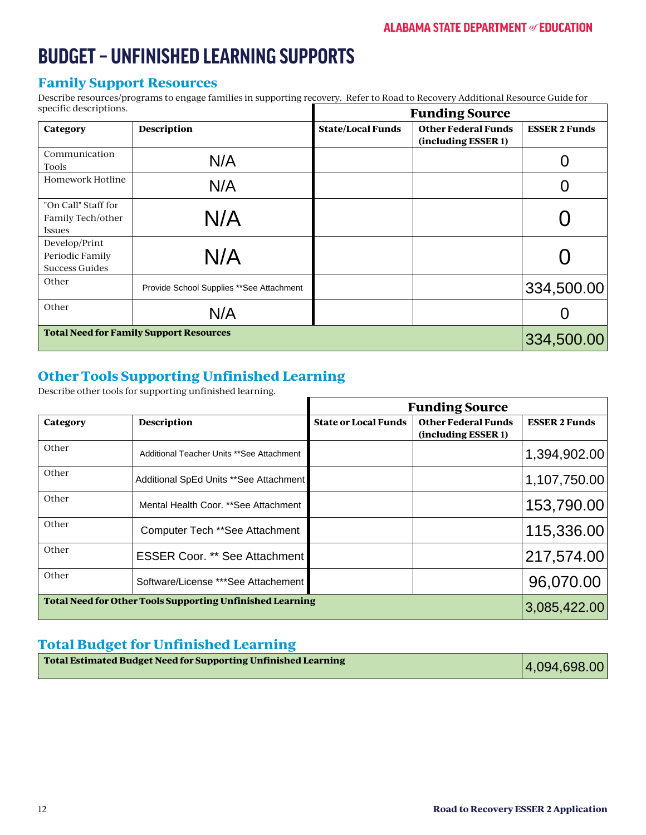#### **Family Support Resources**

Describe resources/programs to engage families in supporting recovery. Refer to Road to Recovery Additional Resource Guide for

| specific descriptions.                                    |                                                | <b>Funding Source</b>    |                                                   |                      |
|-----------------------------------------------------------|------------------------------------------------|--------------------------|---------------------------------------------------|----------------------|
| Category                                                  | <b>Description</b>                             | <b>State/Local Funds</b> | <b>Other Federal Funds</b><br>(including ESSER 1) | <b>ESSER 2 Funds</b> |
| Communication<br>Tools                                    | N/A                                            |                          |                                                   |                      |
| Homework Hotline                                          | N/A                                            |                          |                                                   |                      |
| "On Call" Staff for<br>Family Tech/other<br>Issues        | N/A                                            |                          |                                                   |                      |
| Develop/Print<br>Periodic Family<br><b>Success Guides</b> | N/A                                            |                          |                                                   |                      |
| Other                                                     | Provide School Supplies ** See Attachment      |                          |                                                   | 334,500.00           |
| Other                                                     | N/A                                            |                          |                                                   |                      |
|                                                           | <b>Total Need for Family Support Resources</b> |                          |                                                   | 334,500.00           |

#### **Other Tools Supporting Unfinished Learning**

Describe other tools for supporting unfinished learning.

|          |                                                                  |                             | <b>Funding Source</b>                             |                      |
|----------|------------------------------------------------------------------|-----------------------------|---------------------------------------------------|----------------------|
| Category | <b>Description</b>                                               | <b>State or Local Funds</b> | <b>Other Federal Funds</b><br>(including ESSER 1) | <b>ESSER 2 Funds</b> |
| Other    | Additional Teacher Units ** See Attachment                       |                             |                                                   | 1,394,902.00         |
| Other    | Additional SpEd Units ** See Attachment                          |                             |                                                   | 1,107,750.00         |
| Other    | Mental Health Coor, **See Attachment                             |                             |                                                   | 153,790.00           |
| Other    | Computer Tech ** See Attachment                                  |                             |                                                   | 115,336.00           |
| Other    | <b>ESSER Coor. ** See Attachment</b>                             |                             |                                                   | 217,574.00           |
| Other    | Software/License *** See Attachement                             |                             |                                                   | 96,070.00            |
|          | <b>Total Need for Other Tools Supporting Unfinished Learning</b> |                             |                                                   | 3,085,422.00         |

#### **Total Budget for Unfinished Learning**

| Total Estimated Budget Need for Supporting Unfinished Learning | 4,094,698.00 |
|----------------------------------------------------------------|--------------|
|                                                                |              |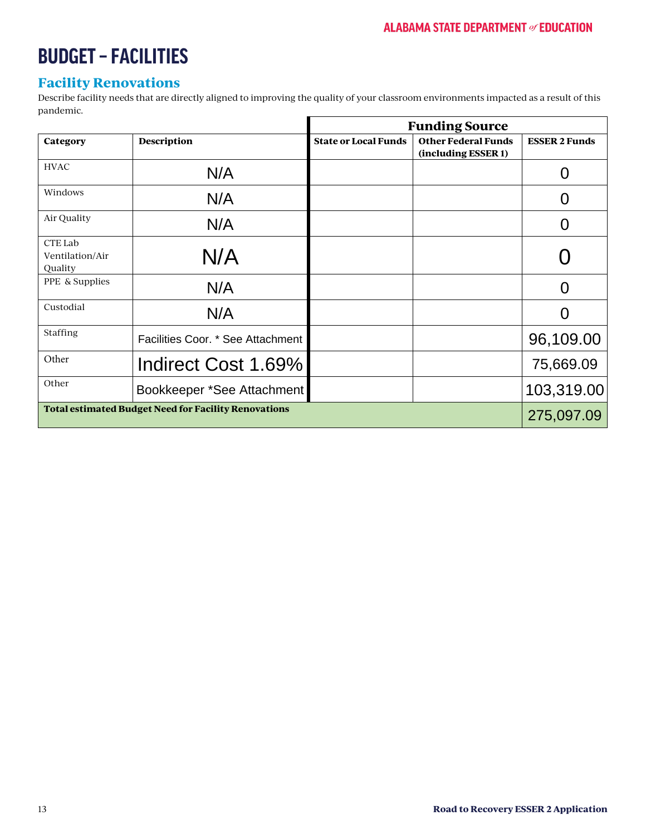### **BUDGET – FACILITIES**

#### **Facility Renovations**

Describe facility needs that are directly aligned to improving the quality of your classroom environments impacted as a result of this pandemic.

|                                       |                                                             | <b>Funding Source</b>       |                                                   |                      |
|---------------------------------------|-------------------------------------------------------------|-----------------------------|---------------------------------------------------|----------------------|
| Category                              | <b>Description</b>                                          | <b>State or Local Funds</b> | <b>Other Federal Funds</b><br>(including ESSER 1) | <b>ESSER 2 Funds</b> |
| <b>HVAC</b>                           | N/A                                                         |                             |                                                   |                      |
| Windows                               | N/A                                                         |                             |                                                   |                      |
| Air Quality                           | N/A                                                         |                             |                                                   |                      |
| CTE Lab<br>Ventilation/Air<br>Quality | N/A                                                         |                             |                                                   |                      |
| PPE & Supplies                        | N/A                                                         |                             |                                                   |                      |
| Custodial                             | N/A                                                         |                             |                                                   |                      |
| <b>Staffing</b>                       | Facilities Coor. * See Attachment                           |                             |                                                   | 96,109.00            |
| Other                                 | Indirect Cost 1.69%                                         |                             |                                                   | 75,669.09            |
| Other                                 | Bookkeeper *See Attachment                                  |                             |                                                   | 103,319.00           |
|                                       | <b>Total estimated Budget Need for Facility Renovations</b> |                             |                                                   | 275,097.09           |